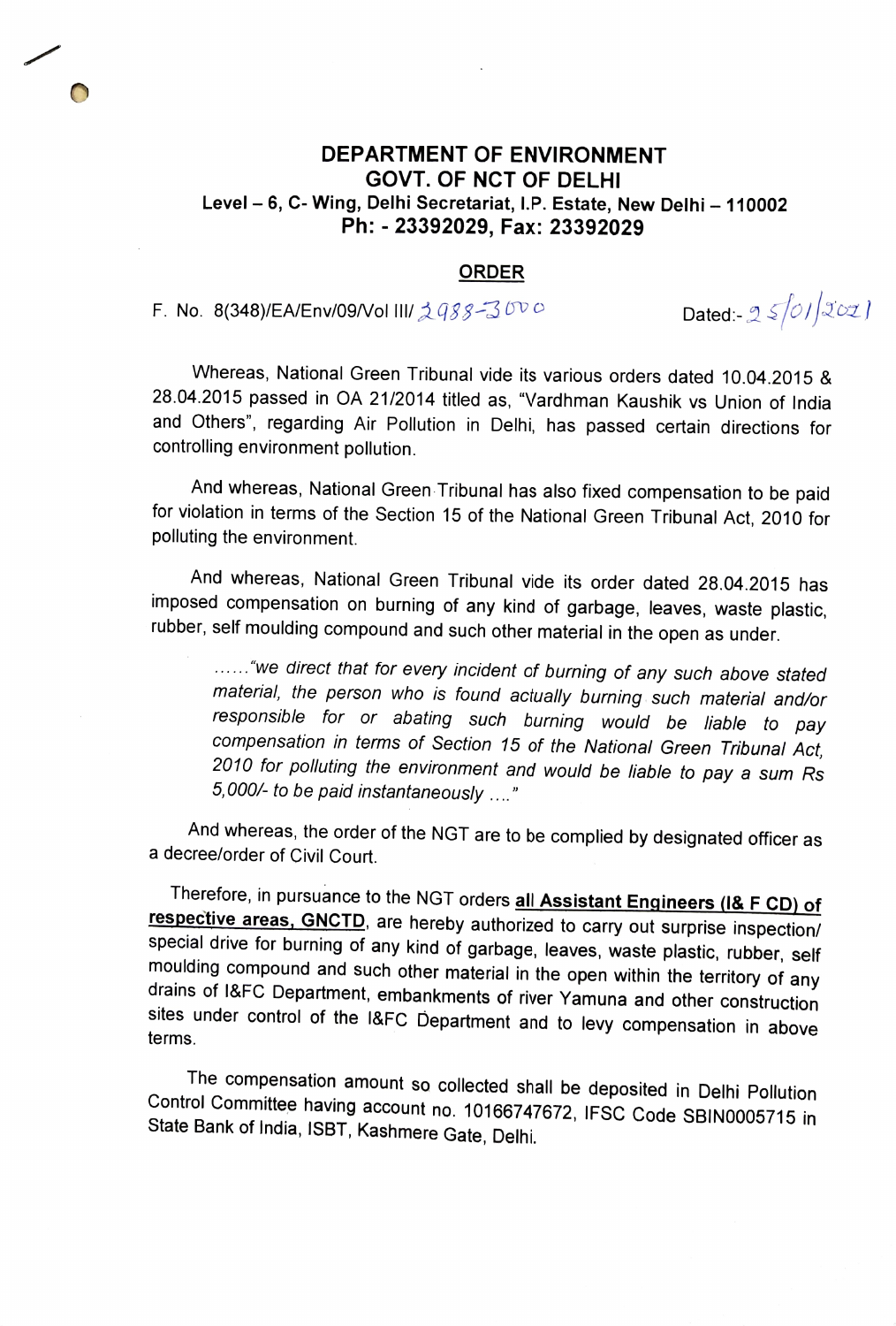## DEPARTMENT OF ENVIRONMENT GOVT. OF NCT OF DELHI Level - 6, C- Wing, Delhi Secretariat, I.P. Estate, New Delhi - 110002 Ph: 23392029, Fax: 23392029

## ORDER

F. No. 8(348)/EA/Env/09/Vol III/  $\triangle 988-300$  O Dated:-  $25/01$  $20z$  ]

Whereas, National Green Tribunal vide its various orders dated 10.04.2015 & 28.04.2015 passed in OA 21/2014 titled as, "Vardhman Kaushik vs Union of India and Others", regarding Air Pollution in Delhi, has passed certain directions for controlling environment pollution.

And whereas, National Green Tribunal has also fixed compensation to be paid for violation in terms of the Section 15 of the National Green Tribunal Act, 2010 for polluting the environment.

And whereas, National Green Tribunal vide its order dated 28.04.2015 has imposed compensation on burning of any kind of garbage, leaves, waste plastic, rubber, self moulding compound and such other material in the open as under.

...... "we direct that for every incident of burning of any such above stated material, the person who is found actually burning such material and/or responsible for or abating such burning would be liable to pay compensation in terms of Section 15 of the National Green Tribunal Act, 2010 for polluting the environment and would be liable to pay a sum Rs 5,000/- to be paid instantaneously

And whereas, the order of the NGT are to be complied by designated officer as a decree/order of Civil Court.

Therefore, in pursuance to the NGT orders **all Assistant Engineers (I& F CD) of respective areas, GNCTD**, are hereby authorized to carry out surprise inspection/ special drive for burning of any kind of garbage, leaves, wa moulding compound and such other material in the open within the territory of any<br>drains of I&FC Department, embankments of river Yamuna and other construction<br>sites under control of the I&FC Department and to levy compens terms

The compensation amount so collected shall be deposited in Delhi Pollution Control Committee having account no. 10166747672, IFSC Code SBIN0005715 in State Bank of India, ISBT, Kashmere Gate, Delhi.